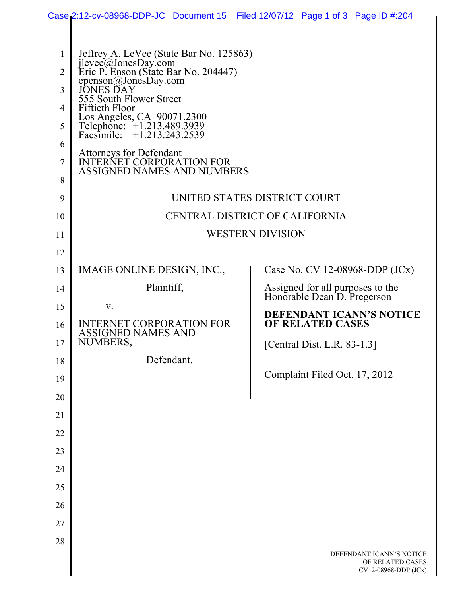|                |                                                                                        |            |  | Case 2:12-cv-08968-DDP-JC Document 15 Filed 12/07/12 Page 1 of 3 Page ID #:204 |  |  |  |  |  |
|----------------|----------------------------------------------------------------------------------------|------------|--|--------------------------------------------------------------------------------|--|--|--|--|--|
|                |                                                                                        |            |  |                                                                                |  |  |  |  |  |
| 1              | Jeffrey A. LeVee (State Bar No. 125863)<br>ilevee@JonesDay.com                         |            |  |                                                                                |  |  |  |  |  |
| $\overline{2}$ | Eric P. Enson (State Bar No. 204447)<br>epenson@JonesDay.com                           |            |  |                                                                                |  |  |  |  |  |
| 3              | JONES DAY<br>555 South Flower Street                                                   |            |  |                                                                                |  |  |  |  |  |
| 4              | <b>Fiftieth Floor</b>                                                                  |            |  |                                                                                |  |  |  |  |  |
| 5              | Los Angeles, CA 90071.2300<br>Telephone: +1.213.489.3939<br>Facsimile: +1.213.243.2539 |            |  |                                                                                |  |  |  |  |  |
| 6              | <b>Attorneys for Defendant</b>                                                         |            |  |                                                                                |  |  |  |  |  |
| 7              | <b>INTERNET CORPORATION FOR</b><br><b>ASSIGNED NAMES AND NUMBERS</b>                   |            |  |                                                                                |  |  |  |  |  |
| 8              |                                                                                        |            |  |                                                                                |  |  |  |  |  |
| 9              | UNITED STATES DISTRICT COURT                                                           |            |  |                                                                                |  |  |  |  |  |
| 10             | CENTRAL DISTRICT OF CALIFORNIA                                                         |            |  |                                                                                |  |  |  |  |  |
| 11             | <b>WESTERN DIVISION</b>                                                                |            |  |                                                                                |  |  |  |  |  |
| 12             |                                                                                        |            |  |                                                                                |  |  |  |  |  |
| 13             | IMAGE ONLINE DESIGN, INC.,                                                             |            |  | Case No. CV 12-08968-DDP $(JCx)$                                               |  |  |  |  |  |
| 14             | Plaintiff,                                                                             |            |  | Assigned for all purposes to the<br>Honorable Dean D. Pregerson                |  |  |  |  |  |
| 15             | V.                                                                                     |            |  | DEFENDANT ICANN'S NOTICE                                                       |  |  |  |  |  |
| 16             | <b>INTERNET CORPORATION FOR</b><br>ASSIGNED NAMES AND                                  |            |  | <b>OF RELATED CASES</b>                                                        |  |  |  |  |  |
| 17             | NUMBERS,                                                                               |            |  | [Central Dist. L.R. 83-1.3]                                                    |  |  |  |  |  |
| 18             |                                                                                        | Defendant. |  |                                                                                |  |  |  |  |  |
| 19             |                                                                                        |            |  | Complaint Filed Oct. 17, 2012                                                  |  |  |  |  |  |
| 20             |                                                                                        |            |  |                                                                                |  |  |  |  |  |
| 21             |                                                                                        |            |  |                                                                                |  |  |  |  |  |
| 22             |                                                                                        |            |  |                                                                                |  |  |  |  |  |
| 23             |                                                                                        |            |  |                                                                                |  |  |  |  |  |
| 24             |                                                                                        |            |  |                                                                                |  |  |  |  |  |
| 25             |                                                                                        |            |  |                                                                                |  |  |  |  |  |
| 26             |                                                                                        |            |  |                                                                                |  |  |  |  |  |
| 27             |                                                                                        |            |  |                                                                                |  |  |  |  |  |
| 28             |                                                                                        |            |  | DEFENDANT ICANN'S NOTICE                                                       |  |  |  |  |  |
|                |                                                                                        |            |  | OF RELATED CASES<br>CV12-08968-DDP (JCx)                                       |  |  |  |  |  |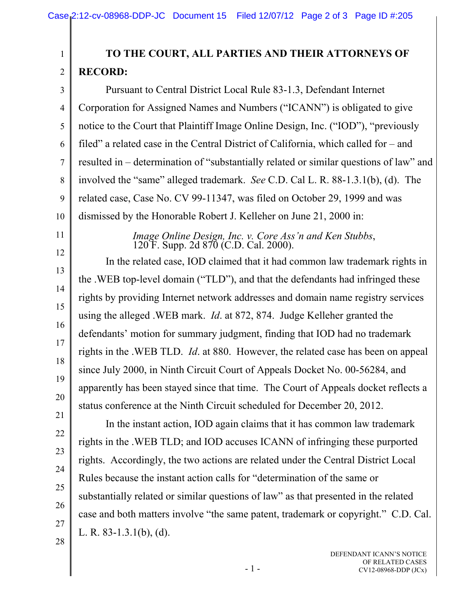## **TO THE COURT, ALL PARTIES AND THEIR ATTORNEYS OF RECORD:**

3 4 5 6 7 8 9 10 Pursuant to Central District Local Rule 83-1.3, Defendant Internet Corporation for Assigned Names and Numbers ("ICANN") is obligated to give notice to the Court that Plaintiff Image Online Design, Inc. ("IOD"), "previously filed" a related case in the Central District of California, which called for – and resulted in – determination of "substantially related or similar questions of law" and involved the "same" alleged trademark. *See* C.D. Cal L. R. 88-1.3.1(b), (d). The related case, Case No. CV 99-11347, was filed on October 29, 1999 and was dismissed by the Honorable Robert J. Kelleher on June 21, 2000 in:

*Image Online Design, Inc. v. Core Ass'n and Ken Stubbs*, 120 F. Supp. 2d 870 (C.D. Cal. 2000).

 In the related case, IOD claimed that it had common law trademark rights in the .WEB top-level domain ("TLD"), and that the defendants had infringed these rights by providing Internet network addresses and domain name registry services using the alleged .WEB mark. *Id*. at 872, 874. Judge Kelleher granted the defendants' motion for summary judgment, finding that IOD had no trademark rights in the .WEB TLD. *Id*. at 880. However, the related case has been on appeal since July 2000, in Ninth Circuit Court of Appeals Docket No. 00-56284, and apparently has been stayed since that time. The Court of Appeals docket reflects a status conference at the Ninth Circuit scheduled for December 20, 2012.

 In the instant action, IOD again claims that it has common law trademark rights in the .WEB TLD; and IOD accuses ICANN of infringing these purported rights. Accordingly, the two actions are related under the Central District Local Rules because the instant action calls for "determination of the same or substantially related or similar questions of law" as that presented in the related case and both matters involve "the same patent, trademark or copyright." C.D. Cal. L. R. 83-1.3.1(b), (d).

11

12

1

2

27

26